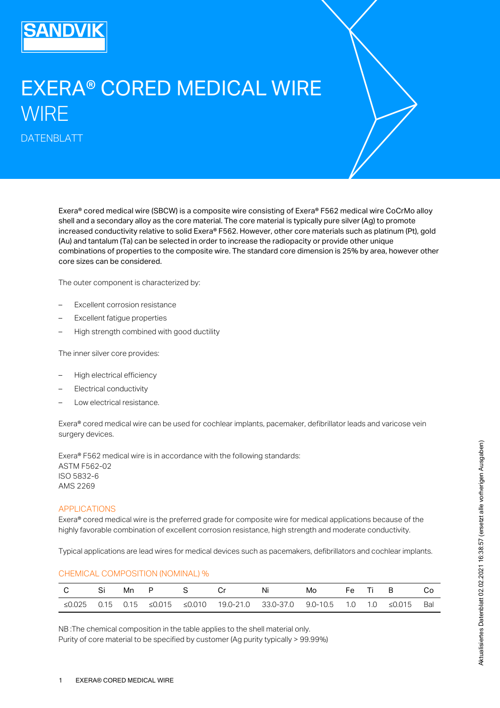

# EXERA® CORED MEDICAL WIRE **WIRE**

DATENBLATT

Exera® cored medical wire (SBCW) is a composite wire consisting of Exera® F562 medical wire CoCrMo alloy shell and a secondary alloy as the core material. The core material is typically pure silver (Ag) to promote increased conductivity relative to solid Exera® F562. However, other core materials such as platinum (Pt), gold (Au) and tantalum (Ta) can be selected in order to increase the radiopacity or provide other unique combinations of properties to the composite wire. The standard core dimension is 25% by area, however other core sizes can be considered.

The outer component is characterized by:

- Excellent corrosion resistance
- Excellent fatigue properties
- High strength combined with good ductility

The inner silver core provides:

- High electrical efficiency
- Electrical conductivity
- Low electrical resistance.

Exera® cored medical wire can be used for cochlear implants, pacemaker, defibrillator leads and varicose vein surgery devices.

Exera® F562 medical wire is in accordance with the following standards: ASTM F562-02 ISO 5832-6 AMS 2269

#### APPLICATIONS

Exera® cored medical wire is the preferred grade for composite wire for medical applications because of the highly favorable combination of excellent corrosion resistance, high strength and moderate conductivity.

Typical applications are lead wires for medical devices such as pacemakers, defibrillators and cochlear implants.

|  |  |  | C SiMn P S Cr Ni Mo FeTiB Co                                                              |  |  |  |
|--|--|--|-------------------------------------------------------------------------------------------|--|--|--|
|  |  |  |                                                                                           |  |  |  |
|  |  |  | ≤0.025  0.15  0.15  ≤0.015  ≤0.010  19.0-21.0  33.0-37.0  9.0-10.5  1.0  1.0  ≤0.015  Bal |  |  |  |

CHEMICAL COMPOSITION (NOMINAL) %

NB :The chemical composition in the table applies to the shell material only. Purity of core material to be specified by customer (Ag purity typically > 99.99%)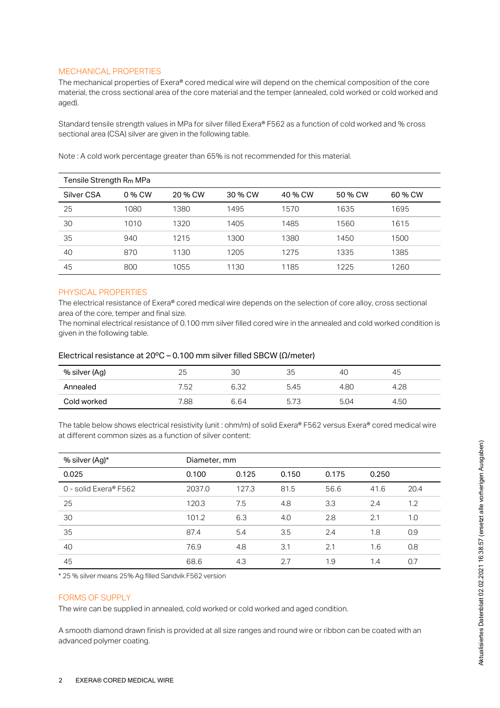# MECHANICAL PROPERTIES

The mechanical properties of Exera® cored medical wire will depend on the chemical composition of the core material, the cross sectional area of the core material and the temper (annealed, cold worked or cold worked and aged).

Standard tensile strength values in MPa for silver filled Exera® F562 as a function of cold worked and % cross sectional area (CSA) silver are given in the following table.

| Tensile Strength R <sub>m</sub> MPa |        |         |         |         |         |         |  |
|-------------------------------------|--------|---------|---------|---------|---------|---------|--|
| Silver CSA                          | 0 % CW | 20 % CW | 30 % CW | 40 % CW | 50 % CW | 60 % CW |  |
| 25                                  | 1080   | 1380    | 1495    | 1570    | 1635    | 1695    |  |
| 30                                  | 1010   | 1320    | 1405    | 1485    | 1560    | 1615    |  |
| 35                                  | 940    | 1215    | 1300    | 1380    | 1450    | 1500    |  |
| 40                                  | 870    | 1130    | 1205    | 1275    | 1335    | 1385    |  |
| 45                                  | 800    | 1055    | 1130    | 1185    | 1225    | 1260    |  |

Note : A cold work percentage greater than 65% is not recommended for this material.

# PHYSICAL PROPERTIES

The electrical resistance of Exera® cored medical wire depends on the selection of core alloy, cross sectional area of the core, temper and final size.

The nominal electrical resistance of 0.100 mm silver filled cored wire in the annealed and cold worked condition is given in the following table.

#### Electrical resistance at 20ºC – 0.100 mm silver filled SBCW (Ω/meter)

| % silver (Ag) | 25   | ЗС   | 35   | 40   | 45   |
|---------------|------|------|------|------|------|
| Annealed      | 7.52 | 6.32 | 5.45 | 4.80 | 4.28 |
| Cold worked   | 7.88 | 6.64 | 5.73 | 5.04 | 4.50 |

The table below shows electrical resistivity (unit : ohm/m) of solid Exera® F562 versus Exera® cored medical wire at different common sizes as a function of silver content:

| % silver (Ag)*        | Diameter, mm |       |       |       |       |      |  |
|-----------------------|--------------|-------|-------|-------|-------|------|--|
| 0.025                 | 0.100        | 0.125 | 0.150 | 0.175 | 0.250 |      |  |
| 0 - solid Exera® F562 | 2037.0       | 127.3 | 81.5  | 56.6  | 41.6  | 20.4 |  |
| 25                    | 120.3        | 7.5   | 4.8   | 3.3   | 2.4   | 1.2  |  |
| 30                    | 101.2        | 6.3   | 4.0   | 2.8   | 2.1   | 1.0  |  |
| 35                    | 87.4         | 5.4   | 3.5   | 2.4   | 1.8   | 0.9  |  |
| 40                    | 76.9         | 4.8   | 3.1   | 2.1   | 1.6   | 0.8  |  |
| 45                    | 68.6         | 4.3   | 2.7   | 1.9   | 1.4   | 0.7  |  |

\* 25 % silver means 25% Ag filled Sandvik F562 version

#### FORMS OF SUPPLY

The wire can be supplied in annealed, cold worked or cold worked and aged condition.

A smooth diamond drawn finish is provided at all size ranges and round wire or ribbon can be coated with an advanced polymer coating.